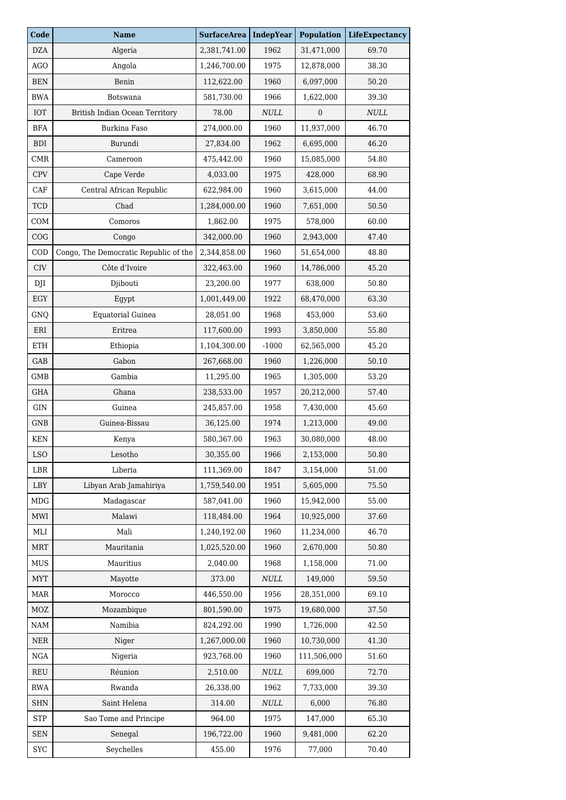| Code                    | <b>Name</b>                           | <b>SurfaceArea</b> | <b>IndepYear</b> | <b>Population</b> | LifeExpectancy |
|-------------------------|---------------------------------------|--------------------|------------------|-------------------|----------------|
| <b>DZA</b>              | Algeria                               | 2,381,741.00       | 1962             | 31,471,000        | 69.70          |
| <b>AGO</b>              | Angola                                | 1,246,700.00       | 1975             | 12,878,000        | 38.30          |
| <b>BEN</b>              | Benin                                 | 112,622.00         | 1960             | 6,097,000         | 50.20          |
| <b>BWA</b>              | Botswana                              | 581,730.00         | 1966             | 1,622,000         | 39.30          |
| <b>IOT</b>              | British Indian Ocean Territory        | 78.00              | $\it NULL$       | $\mathbf{0}$      | $\it NULL$     |
| <b>BFA</b>              | Burkina Faso                          | 274,000.00         | 1960             | 11,937,000        | 46.70          |
| <b>BDI</b>              | Burundi                               | 27,834.00          | 1962             | 6,695,000         | 46.20          |
| CMR                     | Cameroon                              | 475,442.00         | 1960             | 15,085,000        | 54.80          |
| <b>CPV</b>              | Cape Verde                            | 4,033.00           | 1975             | 428,000           | 68.90          |
| CAF                     | Central African Republic              | 622,984.00         | 1960             | 3,615,000         | 44.00          |
| <b>TCD</b>              | Chad                                  | 1,284,000.00       | 1960             | 7,651,000         | 50.50          |
| COM                     | Comoros                               | 1,862.00           | 1975             | 578,000           | 60.00          |
| COG                     | Congo                                 | 342,000.00         | 1960             | 2,943,000         | 47.40          |
| $\mathop{\mathrm{COD}}$ | Congo, The Democratic Republic of the | 2,344,858.00       | 1960             | 51,654,000        | 48.80          |
| CIV                     | Côte d'Ivoire                         | 322,463.00         | 1960             | 14,786,000        | 45.20          |
| DJI                     | Djibouti                              | 23,200.00          | 1977             | 638,000           | 50.80          |
| EGY                     | Egypt                                 | 1,001,449.00       | 1922             | 68,470,000        | 63.30          |
| GNQ                     | <b>Equatorial Guinea</b>              | 28,051.00          | 1968             | 453,000           | 53.60          |
| ERI                     | Eritrea                               | 117,600.00         | 1993             | 3,850,000         | 55.80          |
| ETH                     | Ethiopia                              | 1,104,300.00       | $-1000$          | 62,565,000        | 45.20          |
| GAB                     | Gabon                                 | 267,668.00         | 1960             | 1,226,000         | 50.10          |
| GMB                     | Gambia                                | 11,295.00          | 1965             | 1,305,000         | 53.20          |
| GHA                     | Ghana                                 | 238,533.00         | 1957             | 20,212,000        | 57.40          |
| GIN                     | Guinea                                | 245,857.00         | 1958             | 7,430,000         | 45.60          |
| GNB                     | Guinea-Bissau                         | 36,125.00          | 1974             | 1,213,000         | 49.00          |
| <b>KEN</b>              | Kenya                                 | 580,367.00         | 1963             | 30,080,000        | 48.00          |
| <b>LSO</b>              | Lesotho                               | 30,355.00          | 1966             | 2,153,000         | 50.80          |
| <b>LBR</b>              | Liberia                               | 111,369.00         | 1847             | 3,154,000         | 51.00          |
| LBY                     | Libyan Arab Jamahiriya                | 1,759,540.00       | 1951             | 5,605,000         | 75.50          |
| MDG                     | Madagascar                            | 587,041.00         | 1960             | 15,942,000        | 55.00          |
| MWI                     | Malawi                                | 118,484.00         | 1964             | 10,925,000        | 37.60          |
| MLI                     | Mali                                  | 1,240,192.00       | 1960             | 11,234,000        | 46.70          |
| <b>MRT</b>              | Mauritania                            | 1,025,520.00       | 1960             | 2,670,000         | 50.80          |
| MUS                     | Mauritius                             | 2,040.00           | 1968             | 1,158,000         | 71.00          |
| MYT                     | Mayotte                               | 373.00             | $\it NULL$       | 149,000           | 59.50          |
| <b>MAR</b>              | Morocco                               | 446,550.00         | 1956             | 28,351,000        | 69.10          |
| MOZ                     | Mozambique                            | 801,590.00         | 1975             | 19,680,000        | 37.50          |
| NAM                     | Namibia                               | 824,292.00         | 1990             | 1,726,000         | 42.50          |
| <b>NER</b>              | Niger                                 | 1,267,000.00       | 1960             | 10,730,000        | 41.30          |
| <b>NGA</b>              | Nigeria                               | 923,768.00         | 1960             | 111,506,000       | 51.60          |
| <b>REU</b>              | Réunion                               | 2,510.00           | $\it NULL$       | 699,000           | 72.70          |
| <b>RWA</b>              | Rwanda                                | 26,338.00          | 1962             | 7,733,000         | 39.30          |
| SHN                     | Saint Helena                          | 314.00             | $\it NULL$       | 6,000             | 76.80          |
| <b>STP</b>              | Sao Tome and Principe                 | 964.00             | 1975             | 147,000           | 65.30          |
| <b>SEN</b>              | Senegal                               | 196,722.00         | 1960             | 9,481,000         | 62.20          |
| ${\rm SYC}$             | Seychelles                            | 455.00             | 1976             | 77,000            | 70.40          |